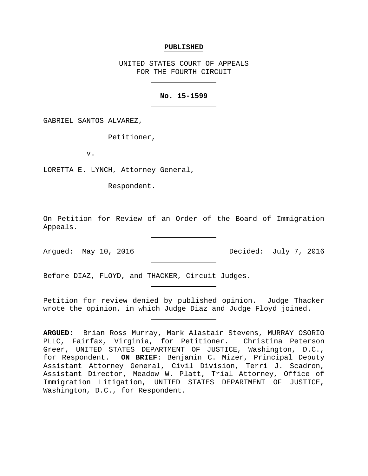#### **PUBLISHED**

UNITED STATES COURT OF APPEALS FOR THE FOURTH CIRCUIT

## **No. 15-1599**

GABRIEL SANTOS ALVAREZ,

Petitioner,

v.

LORETTA E. LYNCH, Attorney General,

Respondent.

On Petition for Review of an Order of the Board of Immigration Appeals.

Arqued: May 10, 2016 **Decided:** July 7, 2016

Before DIAZ, FLOYD, and THACKER, Circuit Judges.

Petition for review denied by published opinion. Judge Thacker wrote the opinion, in which Judge Diaz and Judge Floyd joined.

**ARGUED**: Brian Ross Murray, Mark Alastair Stevens, MURRAY OSORIO PLLC, Fairfax, Virginia, for Petitioner. Christina Peterson Greer, UNITED STATES DEPARTMENT OF JUSTICE, Washington, D.C., for Respondent. **ON BRIEF**: Benjamin C. Mizer, Principal Deputy Assistant Attorney General, Civil Division, Terri J. Scadron, Assistant Director, Meadow W. Platt, Trial Attorney, Office of Immigration Litigation, UNITED STATES DEPARTMENT OF JUSTICE, Washington, D.C., for Respondent.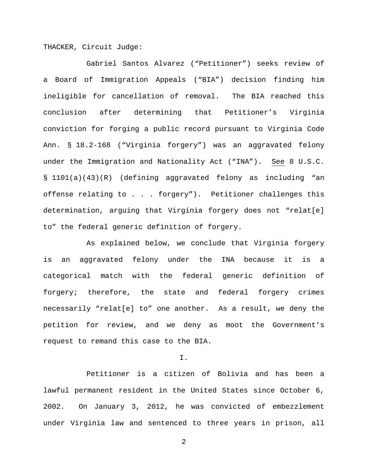THACKER, Circuit Judge:

Gabriel Santos Alvarez ("Petitioner") seeks review of a Board of Immigration Appeals ("BIA") decision finding him ineligible for cancellation of removal. The BIA reached this conclusion after determining that Petitioner's Virginia conviction for forging a public record pursuant to Virginia Code Ann. § 18.2-168 ("Virginia forgery") was an aggravated felony under the Immigration and Nationality Act ("INA"). See 8 U.S.C. § 1101(a)(43)(R) (defining aggravated felony as including "an offense relating to . . . forgery"). Petitioner challenges this determination, arguing that Virginia forgery does not "relat[e] to" the federal generic definition of forgery.

As explained below, we conclude that Virginia forgery is an aggravated felony under the INA because it is a categorical match with the federal generic definition of forgery; therefore, the state and federal forgery crimes necessarily "relat[e] to" one another. As a result, we deny the petition for review, and we deny as moot the Government's request to remand this case to the BIA.

I.

Petitioner is a citizen of Bolivia and has been a lawful permanent resident in the United States since October 6, 2002. On January 3, 2012, he was convicted of embezzlement under Virginia law and sentenced to three years in prison, all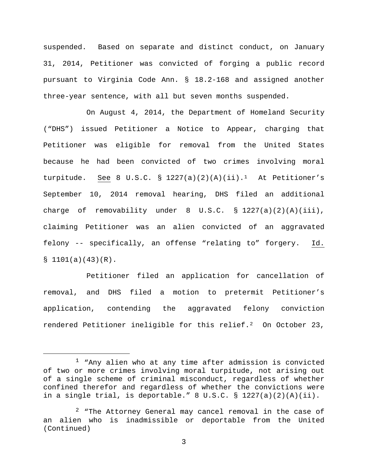suspended. Based on separate and distinct conduct, on January 31, 2014, Petitioner was convicted of forging a public record pursuant to Virginia Code Ann. § 18.2-168 and assigned another three-year sentence, with all but seven months suspended.

On August 4, 2014, the Department of Homeland Security ("DHS") issued Petitioner a Notice to Appear, charging that Petitioner was eligible for removal from the United States because he had been convicted of two crimes involving moral turpitude. See 8 U.S.C. § 1227(a)(2)(A)(ii).<sup>1</sup> At Petitioner's September 10, 2014 removal hearing, DHS filed an additional charge of removability under  $8 \text{ U.S.C.} \S 1227(a)(2)(A)(iii)$ , claiming Petitioner was an alien convicted of an aggravated felony -- specifically, an offense "relating to" forgery. Id.  $$1101(a)(43)(R).$ 

Petitioner filed an application for cancellation of removal, and DHS filed a motion to pretermit Petitioner's application, contending the aggravated felony conviction rendered Petitioner ineligible for this relief.<sup>2</sup> On October 23,

<span id="page-2-0"></span> $1$  "Any alien who at any time after admission is convicted of two or more crimes involving moral turpitude, not arising out of a single scheme of criminal misconduct, regardless of whether confined therefor and regardless of whether the convictions were in a single trial, is deportable." 8 U.S.C. § 1227(a)(2)(A)(ii).

<span id="page-2-1"></span><sup>2</sup> "The Attorney General may cancel removal in the case of an alien who is inadmissible or deportable from the United (Continued)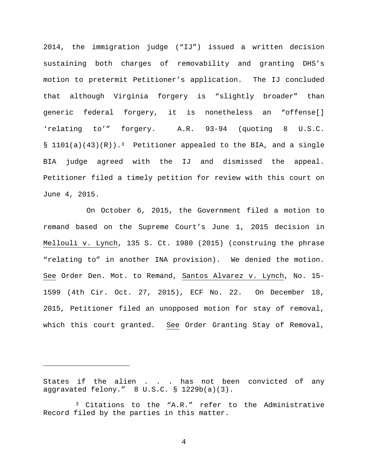2014, the immigration judge ("IJ") issued a written decision sustaining both charges of removability and granting DHS's motion to pretermit Petitioner's application. The IJ concluded that although Virginia forgery is "slightly broader" than generic federal forgery, it is nonetheless an "offense[] 'relating to'" forgery. A.R. 93-94 (quoting 8 U.S.C. § 1101(a)(4[3](#page-3-0))(R)).<sup>3</sup> Petitioner appealed to the BIA, and a single BIA judge agreed with the IJ and dismissed the appeal. Petitioner filed a timely petition for review with this court on June 4, 2015.

On October 6, 2015, the Government filed a motion to remand based on the Supreme Court's June 1, 2015 decision in Mellouli v. Lynch, 135 S. Ct. 1980 (2015) (construing the phrase "relating to" in another INA provision). We denied the motion. See Order Den. Mot. to Remand, Santos Alvarez v. Lynch, No. 15- 1599 (4th Cir. Oct. 27, 2015), ECF No. 22. On December 18, 2015, Petitioner filed an unopposed motion for stay of removal, which this court granted. See Order Granting Stay of Removal,

Ĩ.

States if the alien . . . has not been convicted of any aggravated felony." 8 U.S.C. § 1229b(a)(3).

<span id="page-3-0"></span><sup>3</sup> Citations to the "A.R." refer to the Administrative Record filed by the parties in this matter.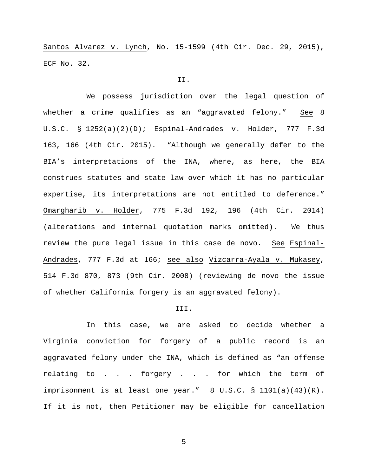Santos Alvarez v. Lynch, No. 15-1599 (4th Cir. Dec. 29, 2015), ECF No. 32.

### II.

We possess jurisdiction over the legal question of whether a crime qualifies as an "aggravated felony." See 8 U.S.C. § 1252(a)(2)(D); Espinal-Andrades v. Holder, 777 F.3d 163, 166 (4th Cir. 2015). "Although we generally defer to the BIA's interpretations of the INA, where, as here, the BIA construes statutes and state law over which it has no particular expertise, its interpretations are not entitled to deference." Omargharib v. Holder, 775 F.3d 192, 196 (4th Cir. 2014) (alterations and internal quotation marks omitted). We thus review the pure legal issue in this case de novo. See Espinal-Andrades, 777 F.3d at 166; see also Vizcarra-Ayala v. Mukasey, 514 F.3d 870, 873 (9th Cir. 2008) (reviewing de novo the issue of whether California forgery is an aggravated felony).

#### III.

In this case, we are asked to decide whether a Virginia conviction for forgery of a public record is an aggravated felony under the INA, which is defined as "an offense relating to . . . forgery . . . for which the term of imprisonment is at least one year." 8 U.S.C. § 1101(a)(43)(R). If it is not, then Petitioner may be eligible for cancellation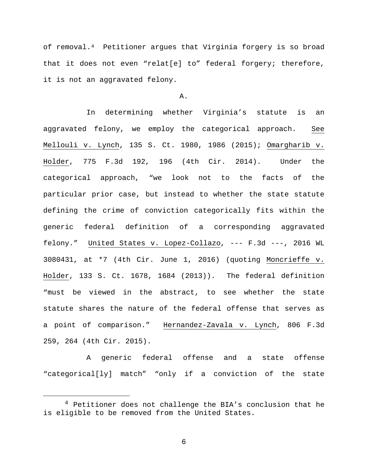of removal.[4](#page-5-0) Petitioner argues that Virginia forgery is so broad that it does not even "relat[e] to" federal forgery; therefore, it is not an aggravated felony.

## A.

In determining whether Virginia's statute is an aggravated felony, we employ the categorical approach. See Mellouli v. Lynch, 135 S. Ct. 1980, 1986 (2015); Omargharib v. Holder, 775 F.3d 192, 196 (4th Cir. 2014). Under the categorical approach, "we look not to the facts of the particular prior case, but instead to whether the state statute defining the crime of conviction categorically fits within the generic federal definition of a corresponding aggravated felony." United States v. Lopez-Collazo, --- F.3d ---, 2016 WL 3080431, at \*7 (4th Cir. June 1, 2016) (quoting Moncrieffe v. Holder, 133 S. Ct. 1678, 1684 (2013)). The federal definition "must be viewed in the abstract, to see whether the state statute shares the nature of the federal offense that serves as a point of comparison." Hernandez-Zavala v. Lynch, 806 F.3d 259, 264 (4th Cir. 2015).

A generic federal offense and a state offense "categorical[ly] match" "only if a conviction of the state

<span id="page-5-0"></span><sup>&</sup>lt;sup>4</sup> Petitioner does not challenge the BIA's conclusion that he is eligible to be removed from the United States.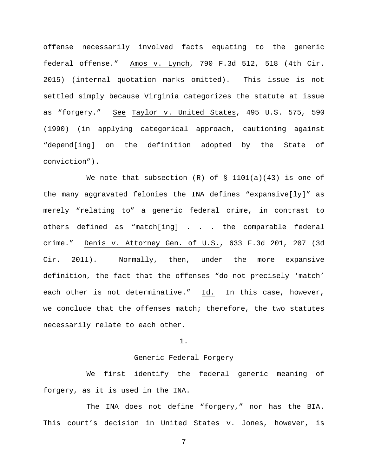offense necessarily involved facts equating to the generic federal offense." Amos v. Lynch, 790 F.3d 512, 518 (4th Cir. 2015) (internal quotation marks omitted). This issue is not settled simply because Virginia categorizes the statute at issue as "forgery." See Taylor v. United States, 495 U.S. 575, 590 (1990) (in applying categorical approach, cautioning against "depend[ing] on the definition adopted by the State of conviction").

We note that subsection  $(R)$  of  $\S$  1101 $(a)(43)$  is one of the many aggravated felonies the INA defines "expansive[ly]" as merely "relating to" a generic federal crime, in contrast to others defined as "match[ing] . . . the comparable federal crime." Denis v. Attorney Gen. of U.S., 633 F.3d 201, 207 (3d Cir. 2011). Normally, then, under the more expansive definition, the fact that the offenses "do not precisely 'match' each other is not determinative." Id. In this case, however, we conclude that the offenses match; therefore, the two statutes necessarily relate to each other.

### 1.

### Generic Federal Forgery

We first identify the federal generic meaning of forgery, as it is used in the INA.

The INA does not define "forgery," nor has the BIA. This court's decision in United States v. Jones, however, is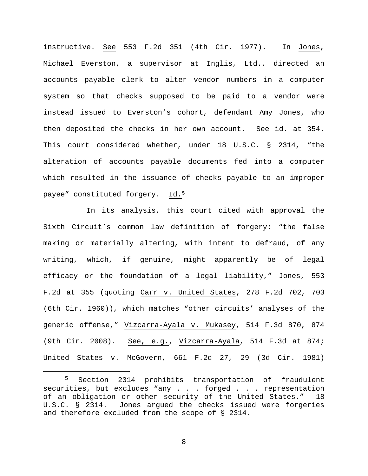instructive. See 553 F.2d 351 (4th Cir. 1977). In Jones, Michael Everston, a supervisor at Inglis, Ltd., directed an accounts payable clerk to alter vendor numbers in a computer system so that checks supposed to be paid to a vendor were instead issued to Everston's cohort, defendant Amy Jones, who then deposited the checks in her own account. See id. at 354. This court considered whether, under 18 U.S.C. § 2314, "the alteration of accounts payable documents fed into a computer which resulted in the issuance of checks payable to an improper payee" constituted forgery. Id.[5](#page-7-0)

In its analysis, this court cited with approval the Sixth Circuit's common law definition of forgery: "the false making or materially altering, with intent to defraud, of any writing, which, if genuine, might apparently be of legal efficacy or the foundation of a legal liability," Jones, 553 F.2d at 355 (quoting Carr v. United States, 278 F.2d 702, 703 (6th Cir. 1960)), which matches "other circuits' analyses of the generic offense," Vizcarra-Ayala v. Mukasey, 514 F.3d 870, 874 (9th Cir. 2008). See, e.g., Vizcarra-Ayala, 514 F.3d at 874; United States v. McGovern, 661 F.2d 27, 29 (3d Cir. 1981)

<span id="page-7-0"></span> <sup>5</sup> Section 2314 prohibits transportation of fraudulent securities, but excludes "any . . . forged . . . representation of an obligation or other security of the United States." 18 U.S.C. § 2314. Jones argued the checks issued were forgeries and therefore excluded from the scope of § 2314.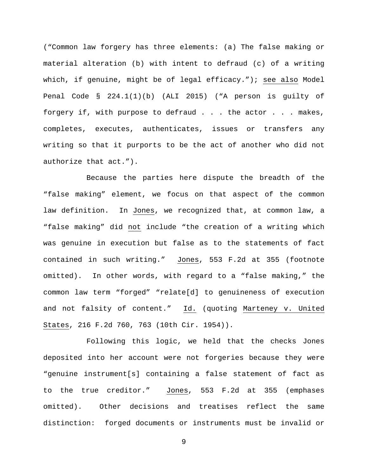("Common law forgery has three elements: (a) The false making or material alteration (b) with intent to defraud (c) of a writing which, if genuine, might be of legal efficacy."); see also Model Penal Code § 224.1(1)(b) (ALI 2015) ("A person is guilty of forgery if, with purpose to defraud . . . the actor . . . makes, completes, executes, authenticates, issues or transfers any writing so that it purports to be the act of another who did not authorize that act.").

Because the parties here dispute the breadth of the "false making" element, we focus on that aspect of the common law definition. In Jones, we recognized that, at common law, a "false making" did not include "the creation of a writing which was genuine in execution but false as to the statements of fact contained in such writing." Jones, 553 F.2d at 355 (footnote omitted). In other words, with regard to a "false making," the common law term "forged" "relate[d] to genuineness of execution and not falsity of content." Id. (quoting Marteney v. United States, 216 F.2d 760, 763 (10th Cir. 1954)).

Following this logic, we held that the checks Jones deposited into her account were not forgeries because they were "genuine instrument[s] containing a false statement of fact as to the true creditor." Jones, 553 F.2d at 355 (emphases omitted). Other decisions and treatises reflect the same distinction: forged documents or instruments must be invalid or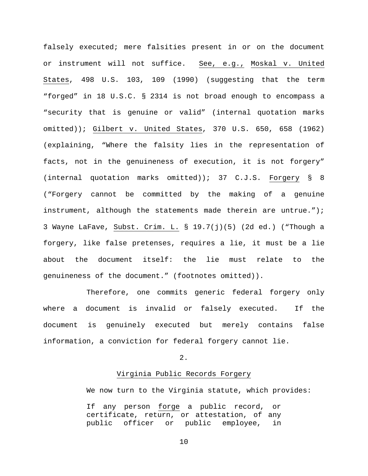falsely executed; mere falsities present in or on the document or instrument will not suffice. See, e.g., Moskal v. United States, 498 U.S. 103, 109 (1990) (suggesting that the term "forged" in 18 U.S.C. § 2314 is not broad enough to encompass a "security that is genuine or valid" (internal quotation marks omitted)); Gilbert v. United States, 370 U.S. 650, 658 (1962) (explaining, "Where the falsity lies in the representation of facts, not in the genuineness of execution, it is not forgery" (internal quotation marks omitted)); 37 C.J.S. Forgery § 8 ("Forgery cannot be committed by the making of a genuine instrument, although the statements made therein are untrue."); 3 Wayne LaFave, Subst. Crim. L. § 19.7(j)(5) (2d ed.) ("Though a forgery, like false pretenses, requires a lie, it must be a lie about the document itself: the lie must relate to the genuineness of the document." (footnotes omitted)).

Therefore, one commits generic federal forgery only where a document is invalid or falsely executed. If the document is genuinely executed but merely contains false information, a conviction for federal forgery cannot lie.

# 2.

## Virginia Public Records Forgery

We now turn to the Virginia statute, which provides:

If any person forge a public record, or certificate, return, or attestation, of any public officer or public employee, in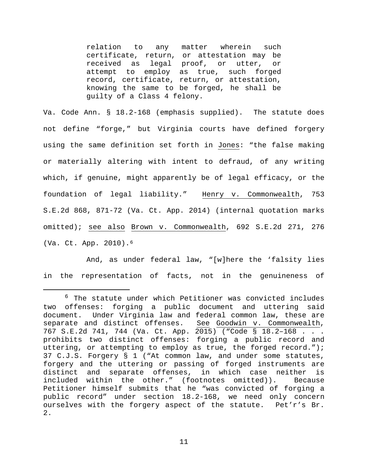relation to any matter wherein such certificate, return, or attestation may be received as legal proof, or utter, or attempt to employ as true, such forged record, certificate, return, or attestation, knowing the same to be forged, he shall be guilty of a Class 4 felony.

Va. Code Ann. § 18.2-168 (emphasis supplied). The statute does not define "forge," but Virginia courts have defined forgery using the same definition set forth in Jones: "the false making or materially altering with intent to defraud, of any writing which, if genuine, might apparently be of legal efficacy, or the foundation of legal liability." Henry v. Commonwealth, 753 S.E.2d 868, 871-72 (Va. Ct. App. 2014) (internal quotation marks omitted); see also Brown v. Commonwealth, 692 S.E.2d 271, 276 (Va. Ct. App. 2010)[.6](#page-10-0)

And, as under federal law, "[w]here the 'falsity lies in the representation of facts, not in the genuineness of

<span id="page-10-0"></span> $6$  The statute under which Petitioner was convicted includes two offenses: forging a public document and uttering said document. Under Virginia law and federal common law, these are separate and distinct offenses. See Goodwin v. Commonwealth, 767 S.E.2d 741, 744 (Va. Ct. App. 2015) ("Code § 18.2–168 . . . prohibits two distinct offenses: forging a public record and uttering, or attempting to employ as true, the forged record."); 37 C.J.S. Forgery § 1 ("At common law, and under some statutes, forgery and the uttering or passing of forged instruments are distinct and separate offenses, in which case neither is included within the other." (footnotes omitted)). Because Petitioner himself submits that he "was convicted of forging a public record" under section 18.2-168, we need only concern ourselves with the forgery aspect of the statute. Pet'r's Br. 2.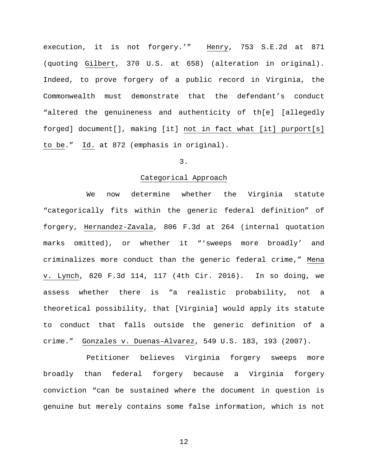execution, it is not forgery.'" Henry, 753 S.E.2d at 871 (quoting Gilbert, 370 U.S. at 658) (alteration in original). Indeed, to prove forgery of a public record in Virginia, the Commonwealth must demonstrate that the defendant's conduct "altered the genuineness and authenticity of th[e] [allegedly forged] document[], making [it] not in fact what [it] purport[s] to be." Id. at 872 (emphasis in original).

# 3.

# Categorical Approach

We now determine whether the Virginia statute "categorically fits within the generic federal definition" of forgery, Hernandez-Zavala, 806 F.3d at 264 (internal quotation marks omitted), or whether it "'sweeps more broadly' and criminalizes more conduct than the generic federal crime," Mena v. Lynch, 820 F.3d 114, 117 (4th Cir. 2016). In so doing, we assess whether there is "a realistic probability, not a theoretical possibility, that [Virginia] would apply its statute to conduct that falls outside the generic definition of a crime." Gonzales v. Duenas–Alvarez, 549 U.S. 183, 193 (2007).

Petitioner believes Virginia forgery sweeps more broadly than federal forgery because a Virginia forgery conviction "can be sustained where the document in question is genuine but merely contains some false information, which is not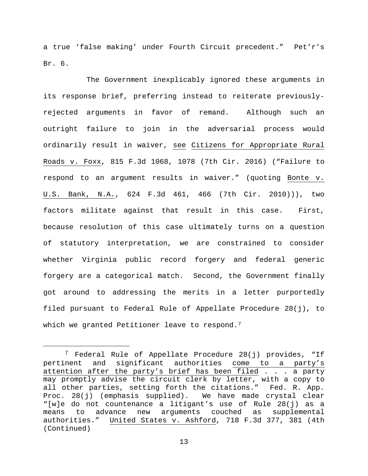a true 'false making' under Fourth Circuit precedent." Pet'r's Br. 6.

The Government inexplicably ignored these arguments in its response brief, preferring instead to reiterate previouslyrejected arguments in favor of remand. Although such an outright failure to join in the adversarial process would ordinarily result in waiver, see Citizens for Appropriate Rural Roads v. Foxx, 815 F.3d 1068, 1078 (7th Cir. 2016) ("Failure to respond to an argument results in waiver." (quoting Bonte v. U.S. Bank, N.A., 624 F.3d 461, 466 (7th Cir. 2010))), two factors militate against that result in this case. First, because resolution of this case ultimately turns on a question of statutory interpretation, we are constrained to consider whether Virginia public record forgery and federal generic forgery are a categorical match. Second, the Government finally got around to addressing the merits in a letter purportedly filed pursuant to Federal Rule of Appellate Procedure 28(j), to which we granted Petitioner leave to respond.<sup>7</sup>

<span id="page-12-0"></span> $7$  Federal Rule of Appellate Procedure 28(j) provides, "If pertinent and significant authorities come to a party's attention after the party's brief has been filed . . . a party may promptly advise the circuit clerk by letter, with a copy to all other parties, setting forth the citations." Fed. R. App. Proc. 28(j) (emphasis supplied). We have made crystal clear "[w]e do not countenance a litigant's use of Rule 28(j) as a means to advance new arguments couched as supplemental authorities." United States v. Ashford, 718 F.3d 377, 381 (4th (Continued)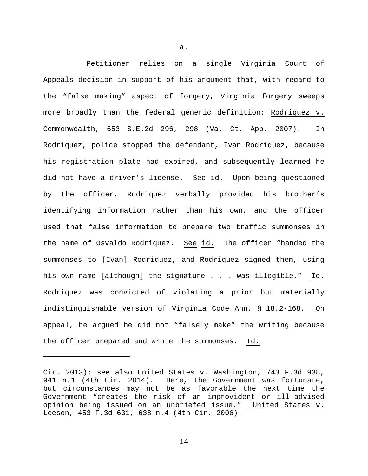Petitioner relies on a single Virginia Court of Appeals decision in support of his argument that, with regard to the "false making" aspect of forgery, Virginia forgery sweeps more broadly than the federal generic definition: Rodriquez v. Commonwealth, 653 S.E.2d 296, 298 (Va. Ct. App. 2007). In Rodriquez, police stopped the defendant, Ivan Rodriquez, because his registration plate had expired, and subsequently learned he did not have a driver's license. See id. Upon being questioned by the officer, Rodriquez verbally provided his brother's identifying information rather than his own, and the officer used that false information to prepare two traffic summonses in the name of Osvaldo Rodriquez. See id. The officer "handed the summonses to [Ivan] Rodriquez, and Rodriquez signed them, using his own name [although] the signature . . . was illegible." Id. Rodriquez was convicted of violating a prior but materially indistinguishable version of Virginia Code Ann. § 18.2-168. On appeal, he argued he did not "falsely make" the writing because the officer prepared and wrote the summonses. Id.

ī

a.

Cir. 2013); see also United States v. Washington, 743 F.3d 938, 941 n.1 (4th Cir. 2014). Here, the Government was fortunate, but circumstances may not be as favorable the next time the Government "creates the risk of an improvident or ill-advised opinion being issued on an unbriefed issue." United States v. Leeson, 453 F.3d 631, 638 n.4 (4th Cir. 2006).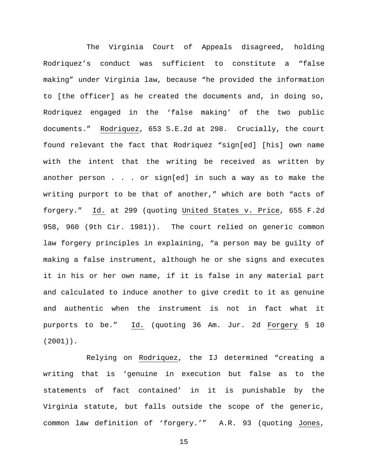The Virginia Court of Appeals disagreed, holding Rodriquez's conduct was sufficient to constitute a "false making" under Virginia law, because "he provided the information to [the officer] as he created the documents and, in doing so, Rodriquez engaged in the 'false making' of the two public documents." Rodriquez, 653 S.E.2d at 298. Crucially, the court found relevant the fact that Rodriquez "sign[ed] [his] own name with the intent that the writing be received as written by another person . . . or sign[ed] in such a way as to make the writing purport to be that of another," which are both "acts of forgery." Id. at 299 (quoting United States v. Price, 655 F.2d 958, 960 (9th Cir. 1981)). The court relied on generic common law forgery principles in explaining, "a person may be guilty of making a false instrument, although he or she signs and executes it in his or her own name, if it is false in any material part and calculated to induce another to give credit to it as genuine and authentic when the instrument is not in fact what it purports to be." Id. (quoting 36 Am. Jur. 2d Forgery § 10 (2001)).

Relying on Rodriquez, the IJ determined "creating a writing that is 'genuine in execution but false as to the statements of fact contained' in it is punishable by the Virginia statute, but falls outside the scope of the generic, common law definition of 'forgery.'" A.R. 93 (quoting Jones,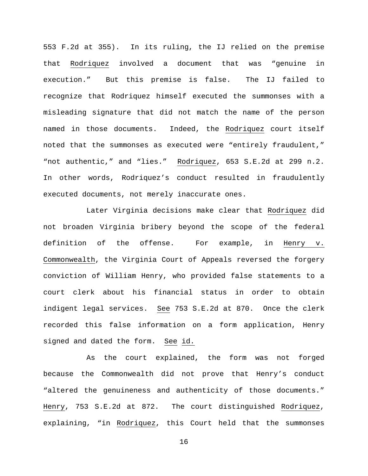553 F.2d at 355). In its ruling, the IJ relied on the premise that Rodriquez involved a document that was "genuine in execution." But this premise is false. The IJ failed to recognize that Rodriquez himself executed the summonses with a misleading signature that did not match the name of the person named in those documents. Indeed, the Rodriquez court itself noted that the summonses as executed were "entirely fraudulent," "not authentic," and "lies." Rodriquez, 653 S.E.2d at 299 n.2. In other words, Rodriquez's conduct resulted in fraudulently executed documents, not merely inaccurate ones.

Later Virginia decisions make clear that Rodriquez did not broaden Virginia bribery beyond the scope of the federal definition of the offense. For example, in Henry v. Commonwealth, the Virginia Court of Appeals reversed the forgery conviction of William Henry, who provided false statements to a court clerk about his financial status in order to obtain indigent legal services. See 753 S.E.2d at 870. Once the clerk recorded this false information on a form application, Henry signed and dated the form. See id.

As the court explained, the form was not forged because the Commonwealth did not prove that Henry's conduct "altered the genuineness and authenticity of those documents." Henry, 753 S.E.2d at 872. The court distinguished Rodriquez, explaining, "in Rodriquez, this Court held that the summonses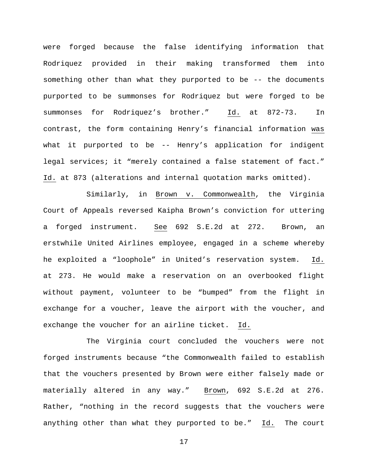were forged because the false identifying information that Rodriquez provided in their making transformed them into something other than what they purported to be -- the documents purported to be summonses for Rodriquez but were forged to be summonses for Rodriquez's brother." Id. at 872-73. In contrast, the form containing Henry's financial information was what it purported to be -- Henry's application for indigent legal services; it "merely contained a false statement of fact." Id. at 873 (alterations and internal quotation marks omitted).

Similarly, in Brown v. Commonwealth, the Virginia Court of Appeals reversed Kaipha Brown's conviction for uttering a forged instrument. See 692 S.E.2d at 272. Brown, an erstwhile United Airlines employee, engaged in a scheme whereby he exploited a "loophole" in United's reservation system. Id. at 273. He would make a reservation on an overbooked flight without payment, volunteer to be "bumped" from the flight in exchange for a voucher, leave the airport with the voucher, and exchange the voucher for an airline ticket. Id.

The Virginia court concluded the vouchers were not forged instruments because "the Commonwealth failed to establish that the vouchers presented by Brown were either falsely made or materially altered in any way." Brown, 692 S.E.2d at 276. Rather, "nothing in the record suggests that the vouchers were anything other than what they purported to be." Id. The court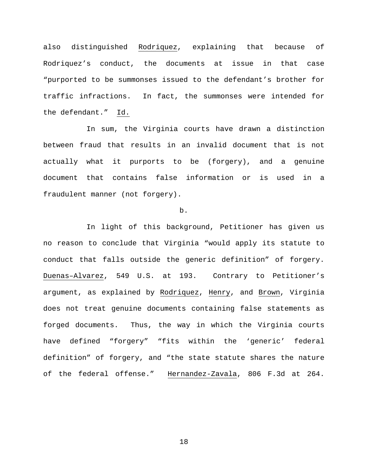also distinguished Rodriquez, explaining that because of Rodriquez's conduct, the documents at issue in that case "purported to be summonses issued to the defendant's brother for traffic infractions. In fact, the summonses were intended for the defendant." Id.

In sum, the Virginia courts have drawn a distinction between fraud that results in an invalid document that is not actually what it purports to be (forgery), and a genuine document that contains false information or is used in a fraudulent manner (not forgery).

### b.

In light of this background, Petitioner has given us no reason to conclude that Virginia "would apply its statute to conduct that falls outside the generic definition" of forgery. Duenas–Alvarez, 549 U.S. at 193. Contrary to Petitioner's argument, as explained by Rodriquez, Henry, and Brown, Virginia does not treat genuine documents containing false statements as forged documents. Thus, the way in which the Virginia courts have defined "forgery" "fits within the 'generic' federal definition" of forgery, and "the state statute shares the nature of the federal offense." Hernandez-Zavala, 806 F.3d at 264.